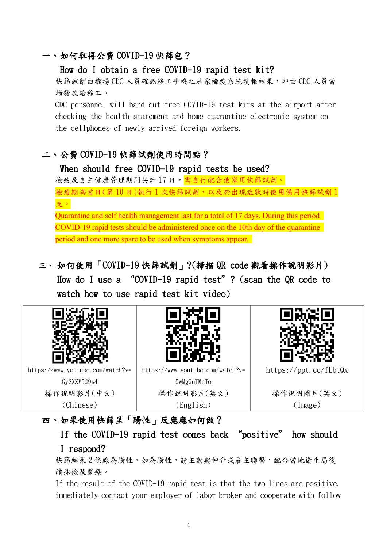#### 一、如何取得公費 COVID-19 快篩包?

How do I obtain a free COVID-19 rapid test kit?

快篩試劑由機場 CDC 人員確認移工手機之居家檢疫系統填報結果,即由 CDC 人員當 場發放給移工。

CDC personnel will hand out free COVID-19 test kits at the airport after checking the health statement and home quarantine electronic system on the cellphones of newly arrived foreign workers.

# 二、公費 COVID-19 快篩試劑使用時間點?

When should free COVID-19 rapid tests be used? 檢疫及自主健康管理期間共計17日,需自行配合使家用快篩試劑。 檢疫期滿當日(第 10 日)執行 1 次快篩試劑、以及於出現症狀時使用備用快篩試劑 1 支。 Quarantine and self health management last for a total of 17 days. During this period COVID-19 rapid tests should be administered once on the 10th day of the quarantine period and one more spare to be used when symptoms appear.

三、 如何使用「COVID-19 快篩試劑」?(掃描 QR code 觀看操作說明影片) How do I use a "COVID-19 rapid test"? (scan the QR code to watch how to use rapid test kit video)



# 四、如果使用快篩呈「陽性」反應應如何做?

If the COVID-19 rapid test comes back "positive" how should I respond?

快篩結果2條線為陽性,如為陽性,請主動與仲介或雇主聯繫,配合當地衛生局後 續採檢及醫療。

If the result of the COVID-19 rapid test is that the two lines are positive, immediately contact your employer of labor broker and cooperate with follow